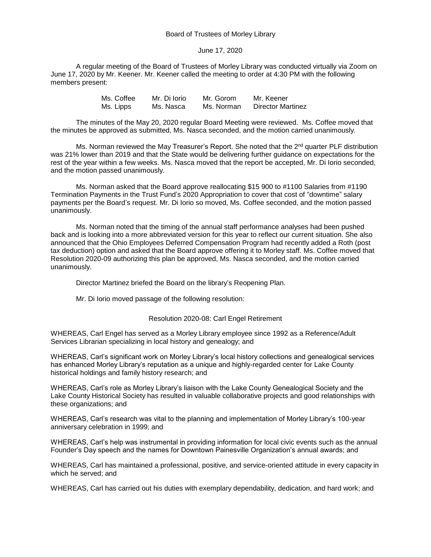## Board of Trustees of Morley Library

## June 17, 2020

A regular meeting of the Board of Trustees of Morley Library was conducted virtually via Zoom on June 17, 2020 by Mr. Keener. Mr. Keener called the meeting to order at 4:30 PM with the following members present:

| Ms. Coffee | Mr. Di Iorio | Mr. Gorom  | Mr. Keener        |
|------------|--------------|------------|-------------------|
| Ms. Lipps  | Ms. Nasca    | Ms. Norman | Director Martinez |

The minutes of the May 20, 2020 regular Board Meeting were reviewed. Ms. Coffee moved that the minutes be approved as submitted, Ms. Nasca seconded, and the motion carried unanimously.

Ms. Norman reviewed the May Treasurer's Report. She noted that the 2<sup>nd</sup> quarter PLF distribution was 21% lower than 2019 and that the State would be delivering further guidance on expectations for the rest of the year within a few weeks. Ms. Nasca moved that the report be accepted, Mr. Di Iorio seconded, and the motion passed unanimously.

Ms. Norman asked that the Board approve reallocating \$15 900 to #1100 Salaries from #1190 Termination Payments in the Trust Fund's 2020 Appropriation to cover that cost of "downtime" salary payments per the Board's request. Mr. Di Iorio so moved, Ms. Coffee seconded, and the motion passed unanimously.

Ms. Norman noted that the timing of the annual staff performance analyses had been pushed back and is looking into a more abbreviated version for this year to reflect our current situation. She also announced that the Ohio Employees Deferred Compensation Program had recently added a Roth (post tax deduction) option and asked that the Board approve offering it to Morley staff. Ms. Coffee moved that Resolution 2020-09 authorizing this plan be approved, Ms. Nasca seconded, and the motion carried unanimously.

Director Martinez briefed the Board on the library's Reopening Plan.

Mr. Di Iorio moved passage of the following resolution:

## Resolution 2020-08: Carl Engel Retirement

WHEREAS, Carl Engel has served as a Morley Library employee since 1992 as a Reference/Adult Services Librarian specializing in local history and genealogy; and

WHEREAS, Carl's significant work on Morley Library's local history collections and genealogical services has enhanced Morley Library's reputation as a unique and highly-regarded center for Lake County historical holdings and family history research; and

WHEREAS, Carl's role as Morley Library's liaison with the Lake County Genealogical Society and the Lake County Historical Society has resulted in valuable collaborative projects and good relationships with these organizations; and

WHEREAS, Carl's research was vital to the planning and implementation of Morley Library's 100-year anniversary celebration in 1999; and

WHEREAS, Carl's help was instrumental in providing information for local civic events such as the annual Founder's Day speech and the names for Downtown Painesville Organization's annual awards; and

WHEREAS, Carl has maintained a professional, positive, and service-oriented attitude in every capacity in which he served; and

WHEREAS, Carl has carried out his duties with exemplary dependability, dedication, and hard work; and